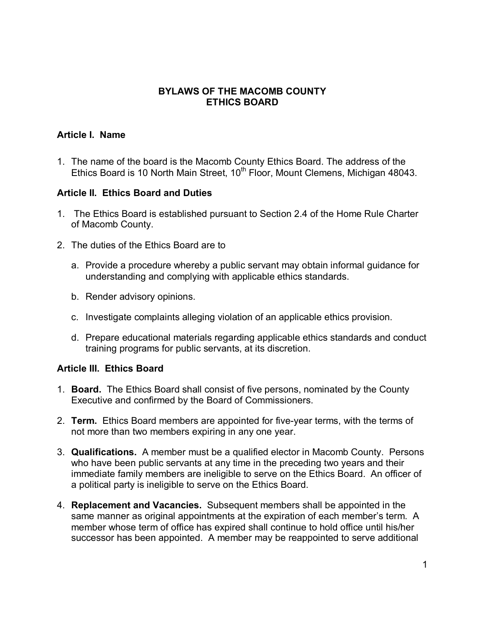# **BYLAWS OF THE MACOMB COUNTY ETHICS BOARD**

#### **Article I. Name**

1. The name of the board is the Macomb County Ethics Board. The address of the Ethics Board is 10 North Main Street, 10<sup>th</sup> Floor, Mount Clemens, Michigan 48043.

#### **Article II. Ethics Board and Duties**

- 1. The Ethics Board is established pursuant to Section 2.4 of the Home Rule Charter of Macomb County.
- 2. The duties of the Ethics Board are to
	- a. Provide a procedure whereby a public servant may obtain informal guidance for understanding and complying with applicable ethics standards.
	- b. Render advisory opinions.
	- c. Investigate complaints alleging violation of an applicable ethics provision.
	- d. Prepare educational materials regarding applicable ethics standards and conduct training programs for public servants, at its discretion.

# **Article III. Ethics Board**

- 1. **Board.** The Ethics Board shall consist of five persons, nominated by the County Executive and confirmed by the Board of Commissioners.
- 2. **Term.** Ethics Board members are appointed for five-year terms, with the terms of not more than two members expiring in any one year.
- 3. **Qualifications.** A member must be a qualified elector in Macomb County. Persons who have been public servants at any time in the preceding two years and their immediate family members are ineligible to serve on the Ethics Board. An officer of a political party is ineligible to serve on the Ethics Board.
- 4. **Replacement and Vacancies.** Subsequent members shall be appointed in the same manner as original appointments at the expiration of each member's term. A member whose term of office has expired shall continue to hold office until his/her successor has been appointed. A member may be reappointed to serve additional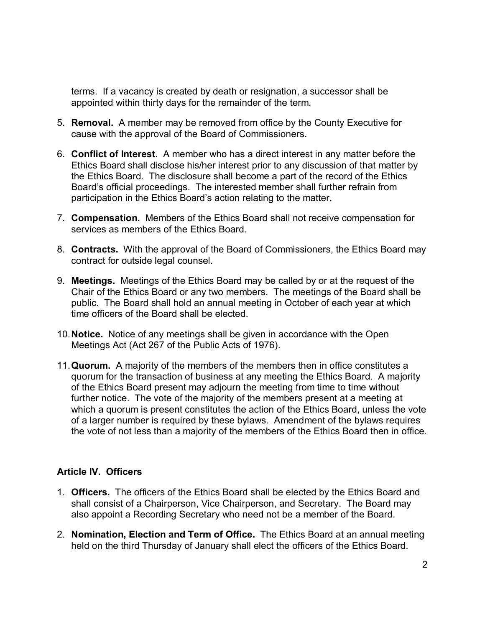terms. If a vacancy is created by death or resignation, a successor shall be appointed within thirty days for the remainder of the term.

- 5. **Removal.** A member may be removed from office by the County Executive for cause with the approval of the Board of Commissioners.
- 6. **Conflict of Interest.** A member who has a direct interest in any matter before the Ethics Board shall disclose his/her interest prior to any discussion of that matter by the Ethics Board. The disclosure shall become a part of the record of the Ethics Board's official proceedings. The interested member shall further refrain from participation in the Ethics Board's action relating to the matter.
- 7. **Compensation.** Members of the Ethics Board shall not receive compensation for services as members of the Ethics Board.
- 8. **Contracts.** With the approval of the Board of Commissioners, the Ethics Board may contract for outside legal counsel.
- 9. **Meetings.** Meetings of the Ethics Board may be called by or at the request of the Chair of the Ethics Board or any two members. The meetings of the Board shall be public. The Board shall hold an annual meeting in October of each year at which time officers of the Board shall be elected.
- 10.**Notice.** Notice of any meetings shall be given in accordance with the Open Meetings Act (Act 267 of the Public Acts of 1976).
- 11.**Quorum.** A majority of the members of the members then in office constitutes a quorum for the transaction of business at any meeting the Ethics Board. A majority of the Ethics Board present may adjourn the meeting from time to time without further notice. The vote of the majority of the members present at a meeting at which a quorum is present constitutes the action of the Ethics Board, unless the vote of a larger number is required by these bylaws. Amendment of the bylaws requires the vote of not less than a majority of the members of the Ethics Board then in office.

# **Article IV. Officers**

- 1. **Officers.** The officers of the Ethics Board shall be elected by the Ethics Board and shall consist of a Chairperson, Vice Chairperson, and Secretary. The Board may also appoint a Recording Secretary who need not be a member of the Board.
- 2. **Nomination, Election and Term of Office.** The Ethics Board at an annual meeting held on the third Thursday of January shall elect the officers of the Ethics Board.